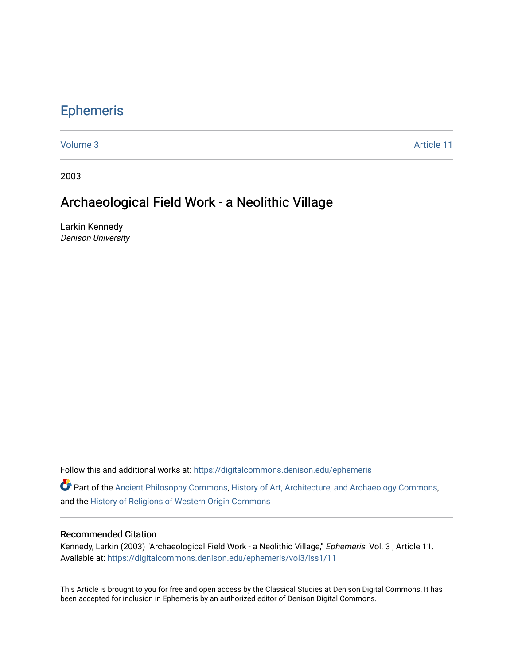## [Ephemeris](https://digitalcommons.denison.edu/ephemeris)

[Volume 3](https://digitalcommons.denison.edu/ephemeris/vol3) Article 11

2003

## Archaeological Field Work - a Neolithic Village

Larkin Kennedy Denison University

Follow this and additional works at: [https://digitalcommons.denison.edu/ephemeris](https://digitalcommons.denison.edu/ephemeris?utm_source=digitalcommons.denison.edu%2Fephemeris%2Fvol3%2Fiss1%2F11&utm_medium=PDF&utm_campaign=PDFCoverPages) 

**P** Part of the [Ancient Philosophy Commons](http://network.bepress.com/hgg/discipline/448?utm_source=digitalcommons.denison.edu%2Fephemeris%2Fvol3%2Fiss1%2F11&utm_medium=PDF&utm_campaign=PDFCoverPages), [History of Art, Architecture, and Archaeology Commons](http://network.bepress.com/hgg/discipline/510?utm_source=digitalcommons.denison.edu%2Fephemeris%2Fvol3%2Fiss1%2F11&utm_medium=PDF&utm_campaign=PDFCoverPages), and the [History of Religions of Western Origin Commons](http://network.bepress.com/hgg/discipline/542?utm_source=digitalcommons.denison.edu%2Fephemeris%2Fvol3%2Fiss1%2F11&utm_medium=PDF&utm_campaign=PDFCoverPages)

## Recommended Citation

Kennedy, Larkin (2003) "Archaeological Field Work - a Neolithic Village," Ephemeris: Vol. 3, Article 11. Available at: [https://digitalcommons.denison.edu/ephemeris/vol3/iss1/11](https://digitalcommons.denison.edu/ephemeris/vol3/iss1/11?utm_source=digitalcommons.denison.edu%2Fephemeris%2Fvol3%2Fiss1%2F11&utm_medium=PDF&utm_campaign=PDFCoverPages) 

This Article is brought to you for free and open access by the Classical Studies at Denison Digital Commons. It has been accepted for inclusion in Ephemeris by an authorized editor of Denison Digital Commons.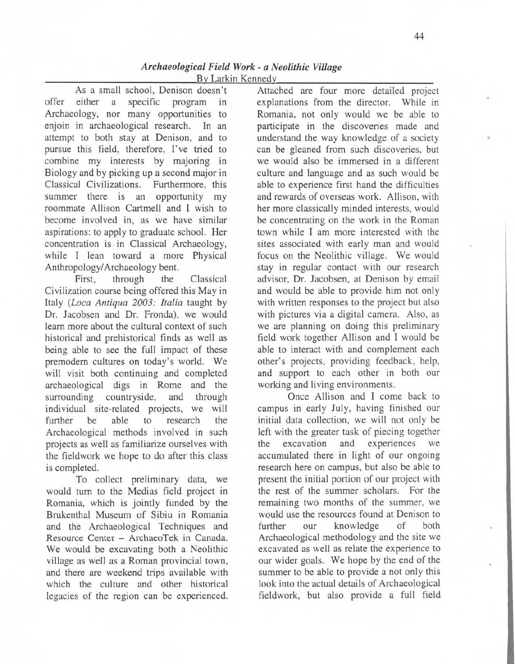As a small school, Denison doesn't offer either a specific program in Archaeology, nor many opportunities to enjoin in archaeological research. In an attempt to both stay at Denison, and to pursue this field, therefore, I've tried to combine my interests by majoring in Biology and by picking up a second major in Classical Civilizations. Furthermore, this summer there is an opportunity my roommate Allison Cartmell and I wish to become involved in, as we have similar aspirations: to apply to graduate school. Her concentration is in Classical Archaeology, while I lean toward a more Physical Anthropology/ Archaeology bent.

First, through the Classical Civilization course being offered this May in Italy *(Loca Antiqua 2003: Italia* taught by Dr. Jacobsen and Dr. Fronda), we would learn more about the cultural context of such historical and prehistorical finds as well as being able to see the full impact of these premodem cultures on today's world. We will visit both continuing and completed archaeological digs in Rome and the surrounding countryside, and through individual site-related projects, we will further be able to research the Archaeological methods involved in such projects as well as familiarize ourselves with the fieldwork we hope to do after this class is completed.

To collect preliminary data, we would tum to the Medias field project in Romania, which is jointly funded by the Brukenthal Museum of Sibiu in Romania and the Archaeological Techniques and Resource Center - ArchaeoTek in Canada. We would be excavating both a Neolithic village as well as a Roman provincial town, and there are weekend trips available with which the culture and other historical legacies of the region can be experienced.

Attached are four more detailed project explanations from the director. While in Romania, not only would we be able to participate in the discoveries made and understand the way knowledge of a society can be gleaned from such discoveries, but we would also be immersed in a different culture and language and as such would be able to experience first hand the difficulties and rewards of overseas work. Allison, with her more classically minded interests, would be concentrating on the work in the Roman town while I am more interested with the sites associated with early man and would focus on the Neolithic village. We would stay in regular contact with our research advisor, Dr. Jacobsen, at Denison by email and would be able to provide him not only with written responses to the project but also with pictures via a digital camera. Also, as we are planning on doing this preliminary field work together Allison and I would be able to interact with and complement each other's projects, providing feedback, help, and support to each other in both our working and living environments.

Once Allison and I come back to campus in early July, having finished our initial data collection, we will not only be left with the greater task of piecing together the excavation and experiences we accumulated there in light of our ongoing research here on campus, but also be able to present the initial portion of our project with the rest of the summer scholars. For the remaining two months of the summer, we would use the resources found at Denison to further our knowledge of both Archaeological methodology and the site we excavated as well as relate the experience to our wider goals. We hope by the end of the summer to be able to provide a not only this look into the actual details of Archaeological fieldwork, but also provide a full field